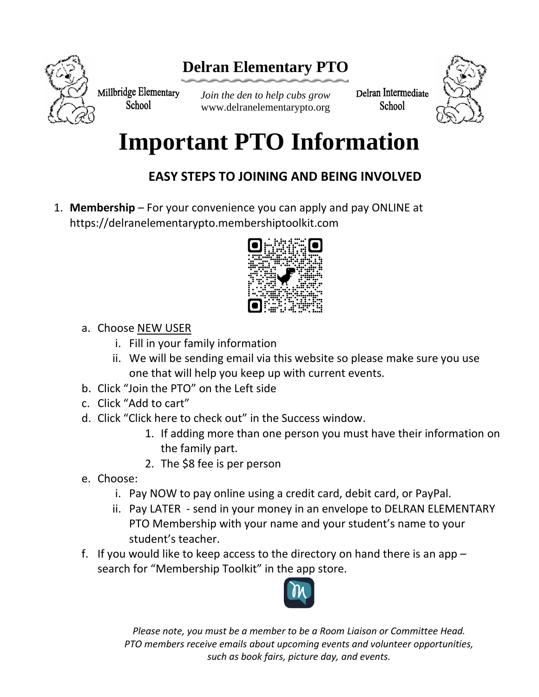

## **Delran Elementary PTO**

Millbridge Elementary **School** 

*Join the den to help cubs grow* www.delranelementarypto.org Delran Intermediate **School** 



## **Important PTO Information**

## **EASY STEPS TO JOINING AND BEING INVOLVED**

1. **Membership** – For your convenience you can apply and pay ONLINE at https://delranelementarypto.membershiptoolkit.com



- a. Choose NEW USER
	- i. Fill in your family information
	- ii. We will be sending email via this website so please make sure you use one that will help you keep up with current events.
- b. Click "Join the PTO" on the Left side
- c. Click "Add to cart"
- d. Click "Click here to check out" in the Success window.
	- 1. If adding more than one person you must have their information on the family part.
	- 2. The \$8 fee is per person
- e. Choose:
	- i. Pay NOW to pay online using a credit card, debit card, or PayPal.
	- ii. Pay LATER send in your money in an envelope to DELRAN ELEMENTARY PTO Membership with your name and your student's name to your student's teacher.
- f. If you would like to keep access to the directory on hand there is an app search for "Membership Toolkit" in the app store.



*Please note, you must be a member to be a Room Liaison or Committee Head. PTO members receive emails about upcoming events and volunteer opportunities, such as book fairs, picture day, and events.*